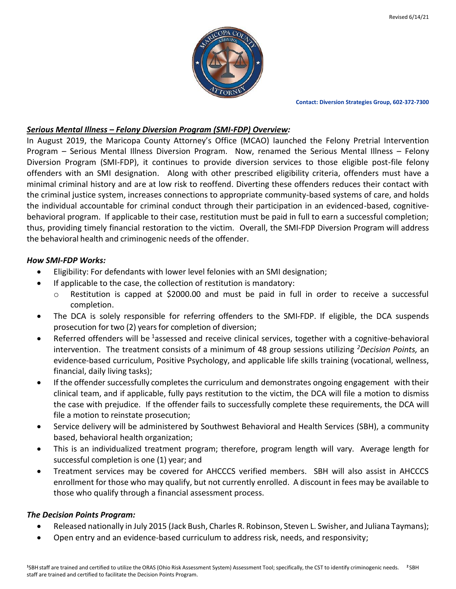

**Contact: Diversion Strategies Group, 602-372-7300**

## *Serious Mental Illness – Felony Diversion Program (SMI-FDP) Overview:*

In August 2019, the Maricopa County Attorney's Office (MCAO) launched the Felony Pretrial Intervention Program – Serious Mental Illness Diversion Program. Now, renamed the Serious Mental Illness – Felony Diversion Program (SMI-FDP), it continues to provide diversion services to those eligible post-file felony offenders with an SMI designation. Along with other prescribed eligibility criteria, offenders must have a minimal criminal history and are at low risk to reoffend. Diverting these offenders reduces their contact with the criminal justice system, increases connections to appropriate community-based systems of care, and holds the individual accountable for criminal conduct through their participation in an evidenced-based, cognitivebehavioral program. If applicable to their case, restitution must be paid in full to earn a successful completion; thus, providing timely financial restoration to the victim. Overall, the SMI-FDP Diversion Program will address the behavioral health and criminogenic needs of the offender.

## *How SMI-FDP Works:*

- Eligibility: For defendants with lower level felonies with an SMI designation;
- If applicable to the case, the collection of restitution is mandatory:
	- o Restitution is capped at \$2000.00 and must be paid in full in order to receive a successful completion.
- The DCA is solely responsible for referring offenders to the SMI-FDP. If eligible, the DCA suspends prosecution for two (2) years for completion of diversion;
- Referred offenders will be <sup>1</sup>assessed and receive clinical services, together with a cognitive-behavioral intervention. The treatment consists of a minimum of 48 group sessions utilizing *<sup>2</sup>Decision Points,* an evidence-based curriculum, Positive Psychology, and applicable life skills training (vocational, wellness, financial, daily living tasks);
- If the offender successfully completes the curriculum and demonstrates ongoing engagement with their clinical team, and if applicable, fully pays restitution to the victim, the DCA will file a motion to dismiss the case with prejudice. If the offender fails to successfully complete these requirements, the DCA will file a motion to reinstate prosecution;
- Service delivery will be administered by Southwest Behavioral and Health Services (SBH), a community based, behavioral health organization;
- This is an individualized treatment program; therefore, program length will vary. Average length for successful completion is one (1) year; and
- Treatment services may be covered for AHCCCS verified members. SBH will also assist in AHCCCS enrollment for those who may qualify, but not currently enrolled. A discount in fees may be available to those who qualify through a financial assessment process.

## *The Decision Points Program:*

- Released nationally in July 2015 (Jack Bush, Charles R. Robinson, Steven L. Swisher, and Juliana Taymans);
- Open entry and an evidence-based curriculum to address risk, needs, and responsivity;